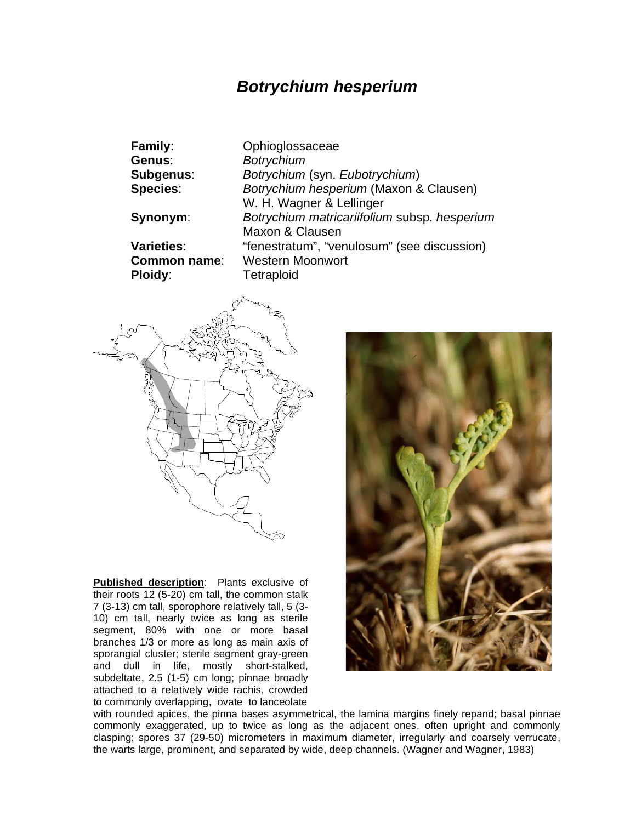## *Botrychium hesperium*

| <b>Family:</b>      | Ophioglossaceae                              |
|---------------------|----------------------------------------------|
| Genus:              | <b>Botrychium</b>                            |
| Subgenus:           | Botrychium (syn. Eubotrychium)               |
| <b>Species:</b>     | Botrychium hesperium (Maxon & Clausen)       |
|                     | W. H. Wagner & Lellinger                     |
| Synonym:            | Botrychium matricariifolium subsp. hesperium |
|                     | Maxon & Clausen                              |
| <b>Varieties:</b>   | "fenestratum", "venulosum" (see discussion)  |
| <b>Common name:</b> | <b>Western Moonwort</b>                      |
| Ploidy:             | Tetraploid                                   |



**Published description**: Plants exclusive of their roots 12 (5-20) cm tall, the common stalk 7 (3-13) cm tall, sporophore relatively tall, 5 (3- 10) cm tall, nearly twice as long as sterile segment, 80% with one or more basal branches 1/3 or more as long as main axis of sporangial cluster; sterile segment gray-green and dull in life, mostly short-stalked, subdeltate, 2.5 (1-5) cm long; pinnae broadly attached to a relatively wide rachis, crowded to commonly overlapping, ovate to lanceolate



with rounded apices, the pinna bases asymmetrical, the lamina margins finely repand; basal pinnae commonly exaggerated, up to twice as long as the adjacent ones, often upright and commonly clasping; spores 37 (29-50) micrometers in maximum diameter, irregularly and coarsely verrucate, the warts large, prominent, and separated by wide, deep channels. (Wagner and Wagner, 1983)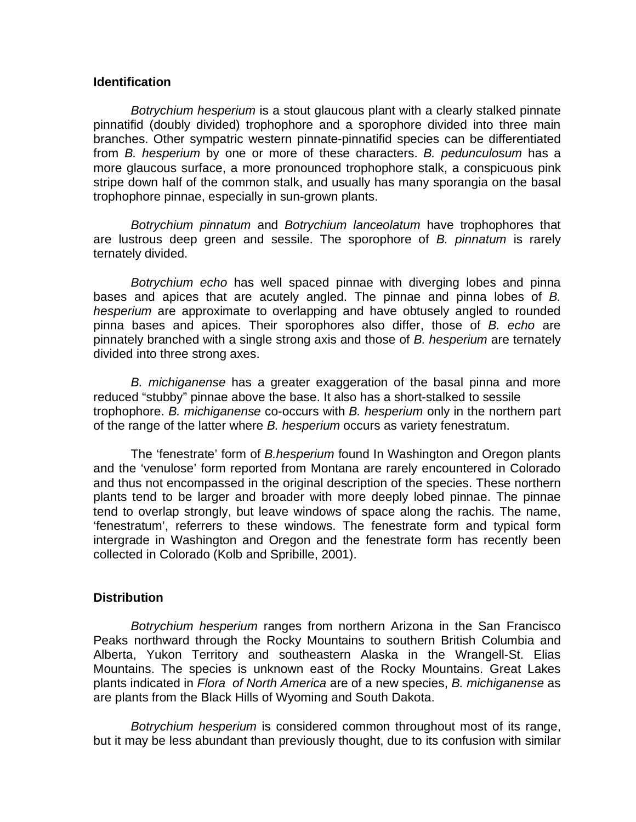## **Identification**

*Botrychium hesperium* is a stout glaucous plant with a clearly stalked pinnate pinnatifid (doubly divided) trophophore and a sporophore divided into three main branches. Other sympatric western pinnate-pinnatifid species can be differentiated from *B. hesperium* by one or more of these characters. *B. pedunculosum* has a more glaucous surface, a more pronounced trophophore stalk, a conspicuous pink stripe down half of the common stalk, and usually has many sporangia on the basal trophophore pinnae, especially in sun-grown plants.

*Botrychium pinnatum* and *Botrychium lanceolatum* have trophophores that are lustrous deep green and sessile. The sporophore of *B. pinnatum* is rarely ternately divided.

*Botrychium echo* has well spaced pinnae with diverging lobes and pinna bases and apices that are acutely angled. The pinnae and pinna lobes of *B. hesperium* are approximate to overlapping and have obtusely angled to rounded pinna bases and apices. Their sporophores also differ, those of *B. echo* are pinnately branched with a single strong axis and those of *B. hesperium* are ternately divided into three strong axes.

*B. michiganense* has a greater exaggeration of the basal pinna and more reduced "stubby" pinnae above the base. It also has a short-stalked to sessile trophophore. *B. michiganense* co-occurs with *B. hesperium* only in the northern part of the range of the latter where *B. hesperium* occurs as variety fenestratum.

The 'fenestrate' form of *B.hesperium* found In Washington and Oregon plants and the 'venulose' form reported from Montana are rarely encountered in Colorado and thus not encompassed in the original description of the species. These northern plants tend to be larger and broader with more deeply lobed pinnae. The pinnae tend to overlap strongly, but leave windows of space along the rachis. The name, 'fenestratum', referrers to these windows. The fenestrate form and typical form intergrade in Washington and Oregon and the fenestrate form has recently been collected in Colorado (Kolb and Spribille, 2001).

## **Distribution**

*Botrychium hesperium* ranges from northern Arizona in the San Francisco Peaks northward through the Rocky Mountains to southern British Columbia and Alberta, Yukon Territory and southeastern Alaska in the Wrangell-St. Elias Mountains. The species is unknown east of the Rocky Mountains. Great Lakes plants indicated in *Flora of North America* are of a new species, *B. michiganense* as are plants from the Black Hills of Wyoming and South Dakota.

*Botrychium hesperium* is considered common throughout most of its range, but it may be less abundant than previously thought, due to its confusion with similar